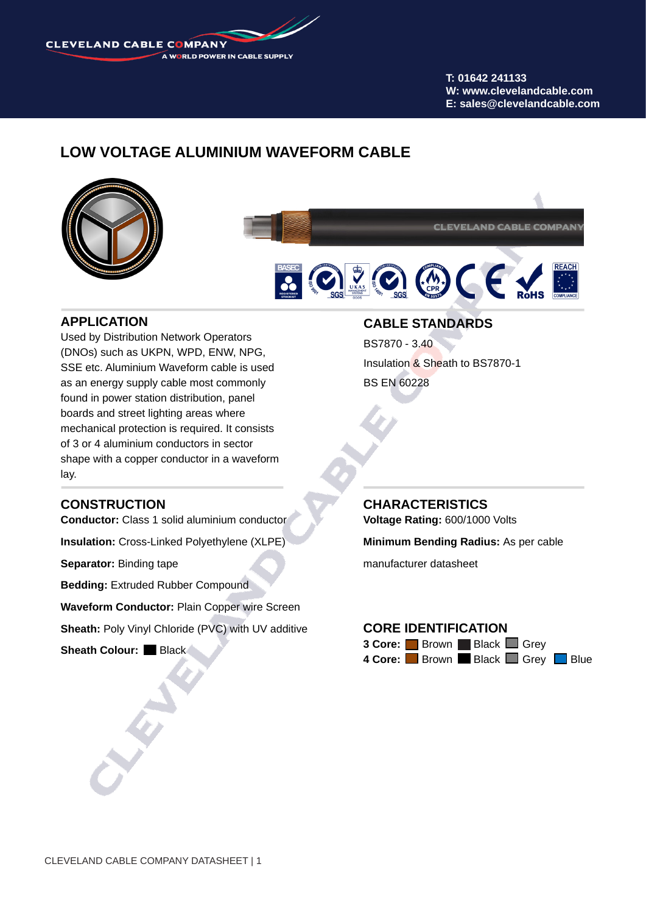**CLEVELAND CABLE COMPANY** A WORLD POWER IN CABLE SUPPLY

> **T: 01642 241133 W: www.clevelandcable.com E: sales@clevelandcable.com**

## **LOW VOLTAGE ALUMINIUM WAVEFORM CABLE**



**CLEVELAND CABLE COMPANY** 



#### **APPLICATION**

Used by Distribution Network Operators (DNOs) such as UKPN, WPD, ENW, NPG, SSE etc. Aluminium Waveform cable is used as an energy supply cable most commonly found in power station distribution, panel boards and street lighting areas where mechanical protection is required. It consists of 3 or 4 aluminium conductors in sector shape with a copper conductor in a waveform lay.

#### **CONSTRUCTION**

**Conductor:** Class 1 solid aluminium conductor

**Insulation:** Cross-Linked Polyethylene (XLPE)

**Separator:** Binding tape

**Bedding: Extruded Rubber Compound** 

**Waveform Conductor:** Plain Copper wire Screen

**Sheath: Poly Vinyl Chloride (PVC) with UV additive** 

**Sheath Colour: Black** 

#### **CABLE STANDARDS**

BS7870 - 3.40 Insulation & Sheath to BS7870-1 BS EN 60228

**CHARACTERISTICS Voltage Rating:** 600/1000 Volts

**Minimum Bending Radius:** As per cable

manufacturer datasheet

## **CORE IDENTIFICATION**

**3 Core:** Brown Black Grey 4 Core: **Brown Black Grey Blue**